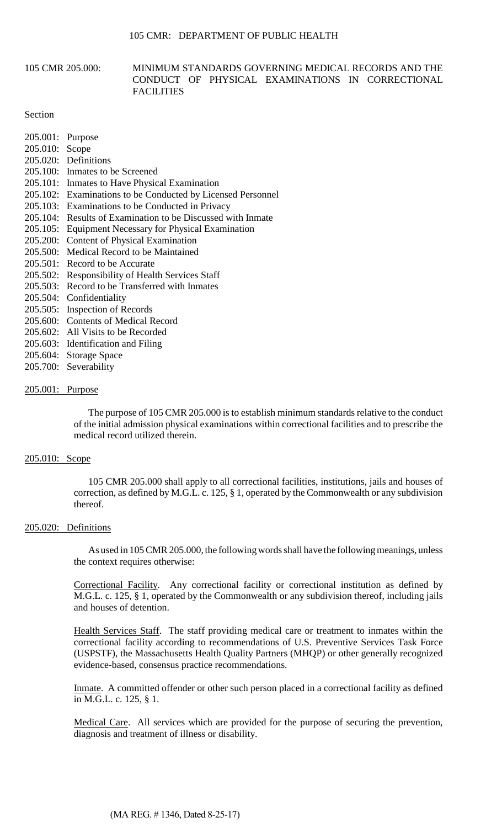### 105 CMR 205.000: MINIMUM STANDARDS GOVERNING MEDICAL RECORDS AND THE CONDUCT OF PHYSICAL EXAMINATIONS IN CORRECTIONAL **FACILITIES**

### Section

| 205.001: | Purpose                                                    |
|----------|------------------------------------------------------------|
| 205.010: | Scope                                                      |
|          | 205.020: Definitions                                       |
|          | 205.100: Inmates to be Screened                            |
|          | 205.101: Inmates to Have Physical Examination              |
|          | 205.102: Examinations to be Conducted by Licensed Personne |
|          | 205.103: Examinations to be Conducted in Privacy           |
| 205.104: | Results of Examination to be Discussed with Inmate         |
| 205.105: | <b>Equipment Necessary for Physical Examination</b>        |
| 205.200: | <b>Content of Physical Examination</b>                     |
|          | 205,500: Medical Record to be Maintained                   |
|          | 205.501: Record to be Accurate                             |
|          | 205.502: Responsibility of Health Services Staff           |
| 205.503: | Record to be Transferred with Inmates                      |
| 205.504: | Confidentiality                                            |
| 205.505: | <b>Inspection of Records</b>                               |
|          | 205,600: Contents of Medical Record                        |
|          | 205.602: All Visits to be Recorded                         |

- 205.603: Identification and Filing
- 205.604: Storage Space
- 205.700: Severability

### 205.001: Purpose

The purpose of 105 CMR 205.000 is to establish minimum standards relative to the conduct of the initial admission physical examinations within correctional facilities and to prescribe the medical record utilized therein.

Personnel

### 205.010: Scope

105 CMR 205.000 shall apply to all correctional facilities, institutions, jails and houses of correction, as defined by M.G.L. c. 125, § 1, operated by the Commonwealth or any subdivision thereof.

#### 205.020: Definitions

As used in 105 CMR 205.000, the following words shall have the following meanings, unless the context requires otherwise:

Correctional Facility. Any correctional facility or correctional institution as defined by M.G.L. c. 125, § 1, operated by the Commonwealth or any subdivision thereof, including jails and houses of detention.

Health Services Staff. The staff providing medical care or treatment to inmates within the correctional facility according to recommendations of U.S. Preventive Services Task Force (USPSTF), the Massachusetts Health Quality Partners (MHQP) or other generally recognized evidence-based, consensus practice recommendations.

Inmate. A committed offender or other such person placed in a correctional facility as defined in M.G.L. c. 125, § 1.

Medical Care. All services which are provided for the purpose of securing the prevention, diagnosis and treatment of illness or disability.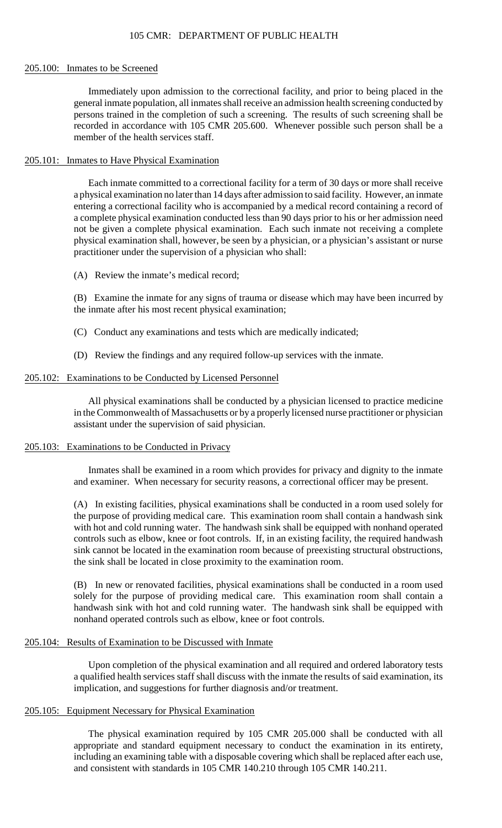#### 205.100: Inmates to be Screened

Immediately upon admission to the correctional facility, and prior to being placed in the general inmate population, all inmates shall receive an admission health screening conducted by persons trained in the completion of such a screening. The results of such screening shall be recorded in accordance with 105 CMR 205.600. Whenever possible such person shall be a member of the health services staff.

### 205.101: Inmates to Have Physical Examination

Each inmate committed to a correctional facility for a term of 30 days or more shall receive a physical examination no later than 14 days after admission to said facility. However, an inmate entering a correctional facility who is accompanied by a medical record containing a record of a complete physical examination conducted less than 90 days prior to his or her admission need not be given a complete physical examination. Each such inmate not receiving a complete physical examination shall, however, be seen by a physician, or a physician's assistant or nurse practitioner under the supervision of a physician who shall:

(A) Review the inmate's medical record;

(B) Examine the inmate for any signs of trauma or disease which may have been incurred by the inmate after his most recent physical examination;

- (C) Conduct any examinations and tests which are medically indicated;
- (D) Review the findings and any required follow-up services with the inmate.

### 205.102: Examinations to be Conducted by Licensed Personnel

All physical examinations shall be conducted by a physician licensed to practice medicine in the Commonwealth of Massachusetts or by a properly licensed nurse practitioner or physician assistant under the supervision of said physician.

### 205.103: Examinations to be Conducted in Privacy

 Inmates shall be examined in a room which provides for privacy and dignity to the inmate and examiner. When necessary for security reasons, a correctional officer may be present.

 controls such as elbow, knee or foot controls. If, in an existing facility, the required handwash (A) In existing facilities, physical examinations shall be conducted in a room used solely for the purpose of providing medical care. This examination room shall contain a handwash sink with hot and cold running water. The handwash sink shall be equipped with nonhand operated sink cannot be located in the examination room because of preexisting structural obstructions, the sink shall be located in close proximity to the examination room.

 handwash sink with hot and cold running water. The handwash sink shall be equipped with (B) In new or renovated facilities, physical examinations shall be conducted in a room used solely for the purpose of providing medical care. This examination room shall contain a nonhand operated controls such as elbow, knee or foot controls.

#### 205.104: Results of Examination to be Discussed with Inmate

 a qualified health services staff shall discuss with the inmate the results of said examination, its Upon completion of the physical examination and all required and ordered laboratory tests implication, and suggestions for further diagnosis and/or treatment.

#### 205.105: Equipment Necessary for Physical Examination

The physical examination required by 105 CMR 205.000 shall be conducted with all appropriate and standard equipment necessary to conduct the examination in its entirety, including an examining table with a disposable covering which shall be replaced after each use, and consistent with standards in 105 CMR 140.210 through 105 CMR 140.211.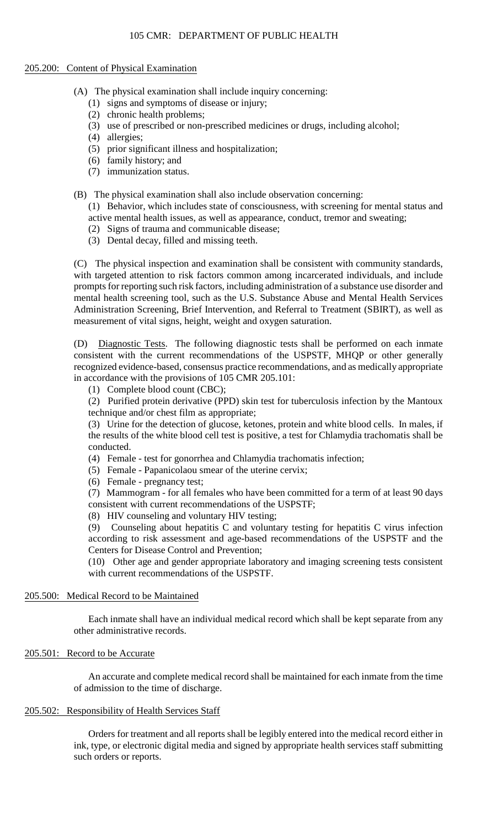### 205.200: Content of Physical Examination

- (A) The physical examination shall include inquiry concerning:
	- (1) signs and symptoms of disease or injury;
	- (2) chronic health problems;
	- (3) use of prescribed or non-prescribed medicines or drugs, including alcohol;
	- (4) allergies;
	- (5) prior significant illness and hospitalization;
	- (6) family history; and
	- (7) immunization status.
- (B) The physical examination shall also include observation concerning:
	- (1) Behavior, which includes state of consciousness, with screening for mental status and active mental health issues, as well as appearance, conduct, tremor and sweating;
	- (2) Signs of trauma and communicable disease;
	- (3) Dental decay, filled and missing teeth.

 mental health screening tool, such as the U.S. Substance Abuse and Mental Health Services (C) The physical inspection and examination shall be consistent with community standards, with targeted attention to risk factors common among incarcerated individuals, and include prompts for reporting such risk factors, including administration of a substance use disorder and Administration Screening, Brief Intervention, and Referral to Treatment (SBIRT), as well as measurement of vital signs, height, weight and oxygen saturation.

 recognized evidence-based, consensus practice recommendations, and as medically appropriate (D) Diagnostic Tests. The following diagnostic tests shall be performed on each inmate consistent with the current recommendations of the USPSTF, MHQP or other generally in accordance with the provisions of 105 CMR 205.101:

(1) Complete blood count (CBC);

 (2) Purified protein derivative (PPD) skin test for tuberculosis infection by the Mantoux technique and/or chest film as appropriate;

 (3) Urine for the detection of glucose, ketones, protein and white blood cells. In males, if the results of the white blood cell test is positive, a test for Chlamydia trachomatis shall be conducted.

- (4) Female test for gonorrhea and Chlamydia trachomatis infection;
- (5) Female Papanicolaou smear of the uterine cervix;
- (6) Female pregnancy test;

 (7) Mammogram - for all females who have been committed for a term of at least 90 days consistent with current recommendations of the USPSTF;

(8) HIV counseling and voluntary HIV testing;

 according to risk assessment and age-based recommendations of the USPSTF and the (9) Counseling about hepatitis C and voluntary testing for hepatitis C virus infection Centers for Disease Control and Prevention;

(10) Other age and gender appropriate laboratory and imaging screening tests consistent with current recommendations of the USPSTF.

### 205.500: Medical Record to be Maintained

Each inmate shall have an individual medical record which shall be kept separate from any other administrative records.

### 205.501: Record to be Accurate

An accurate and complete medical record shall be maintained for each inmate from the time of admission to the time of discharge.

## 205.502: Responsibility of Health Services Staff

Orders for treatment and all reports shall be legibly entered into the medical record either in ink, type, or electronic digital media and signed by appropriate health services staff submitting such orders or reports.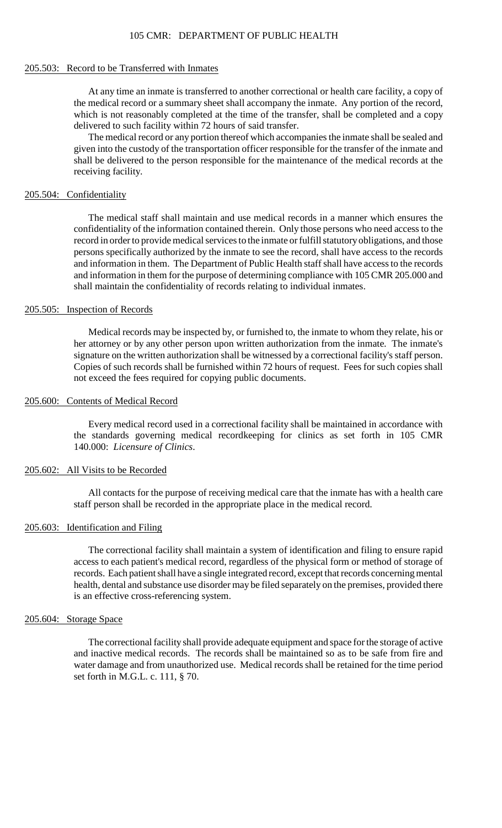#### 105 CMR: DEPARTMENT OF PUBLIC HEALTH

#### 205.503: Record to be Transferred with Inmates

At any time an inmate is transferred to another correctional or health care facility, a copy of the medical record or a summary sheet shall accompany the inmate. Any portion of the record, which is not reasonably completed at the time of the transfer, shall be completed and a copy delivered to such facility within 72 hours of said transfer.

The medical record or any portion thereof which accompanies the inmate shall be sealed and given into the custody of the transportation officer responsible for the transfer of the inmate and shall be delivered to the person responsible for the maintenance of the medical records at the receiving facility.

#### 205.504: Confidentiality

 The medical staff shall maintain and use medical records in a manner which ensures the record in order to provide medical services to the inmate or fulfill statutory obligations, and those confidentiality of the information contained therein. Only those persons who need access to the persons specifically authorized by the inmate to see the record, shall have access to the records and information in them. The Department of Public Health staff shall have access to the records and information in them for the purpose of determining compliance with 105 CMR 205.000 and shall maintain the confidentiality of records relating to individual inmates.

### 205.505: Inspection of Records

 her attorney or by any other person upon written authorization from the inmate. The inmate's Copies of such records shall be furnished within 72 hours of request. Fees for such copies shall Medical records may be inspected by, or furnished to, the inmate to whom they relate, his or signature on the written authorization shall be witnessed by a correctional facility's staff person. not exceed the fees required for copying public documents.

### 205.600: Contents of Medical Record

 Every medical record used in a correctional facility shall be maintained in accordance with the standards governing medical recordkeeping for clinics as set forth in 105 CMR 140.000: *Licensure of Clinics*.

#### 205.602: All Visits to be Recorded

All contacts for the purpose of receiving medical care that the inmate has with a health care staff person shall be recorded in the appropriate place in the medical record.

#### 205.603: Identification and Filing

 The correctional facility shall maintain a system of identification and filing to ensure rapid health, dental and substance use disorder may be filed separately on the premises, provided there access to each patient's medical record, regardless of the physical form or method of storage of records. Each patient shall have a single integrated record, except that records concerning mental is an effective cross-referencing system.

#### 205.604: Storage Space

 and inactive medical records. The records shall be maintained so as to be safe from fire and The correctional facility shall provide adequate equipment and space for the storage of active water damage and from unauthorized use. Medical records shall be retained for the time period set forth in M.G.L. c. 111, § 70.